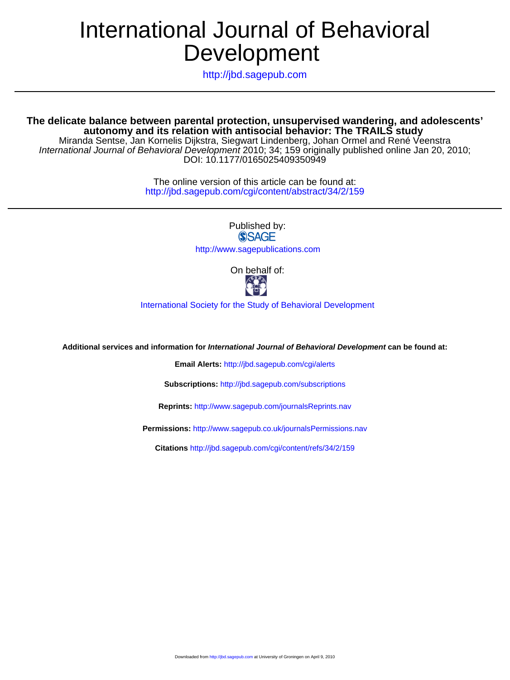# Development International Journal of Behavioral

http://jbd.sagepub.com

# **autonomy and its relation with antisocial behavior: The TRAILS study The delicate balance between parental protection, unsupervised wandering, and adolescents'**

DOI: 10.1177/0165025409350949 International Journal of Behavioral Development 2010; 34; 159 originally published online Jan 20, 2010; Miranda Sentse, Jan Kornelis Dijkstra, Siegwart Lindenberg, Johan Ormel and René Veenstra

> http://jbd.sagepub.com/cgi/content/abstract/34/2/159 The online version of this article can be found at:

> > Published by: **SSAGE** http://www.sagepublications.com

> > > On behalf of:

[International Society for the Study of Behavioral Development](http://www.issbd.org)

**Additional services and information for International Journal of Behavioral Development can be found at:**

**Email Alerts:** <http://jbd.sagepub.com/cgi/alerts>

**Subscriptions:** <http://jbd.sagepub.com/subscriptions>

**Reprints:** <http://www.sagepub.com/journalsReprints.nav>

**Permissions:** <http://www.sagepub.co.uk/journalsPermissions.nav>

**Citations** <http://jbd.sagepub.com/cgi/content/refs/34/2/159>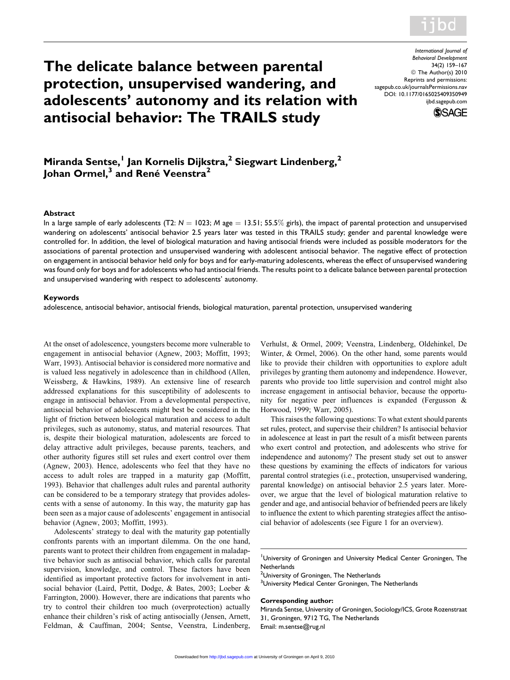

# The delicate balance between parental protection, unsupervised wandering, and adolescents' autonomy and its relation with antisocial behavior: The TRAILS study

International Journal of Behavioral Development 34(2) 159–167 © The Author(s) 2010 Reprints and permissions: sagepub.co.uk/journalsPermissions.nav DOI: 10.1177/0165025409350949 ijbd.sagepub.com



# Miranda Sentse,<sup>1</sup> Jan Kornelis Dijkstra,<sup>2</sup> Siegwart Lindenberg,<sup>2</sup> Johan Ormel, $3$  and Rene<sup> $\text{V}$ </sup> Veenstra<sup>2</sup>

#### Abstract

In a large sample of early adolescents (T2:  $N = 1023$ ; M age = 13.51; 55.5% girls), the impact of parental protection and unsupervised wandering on adolescents' antisocial behavior 2.5 years later was tested in this TRAILS study; gender and parental knowledge were controlled for. In addition, the level of biological maturation and having antisocial friends were included as possible moderators for the associations of parental protection and unsupervised wandering with adolescent antisocial behavior. The negative effect of protection on engagement in antisocial behavior held only for boys and for early-maturing adolescents, whereas the effect of unsupervised wandering was found only for boys and for adolescents who had antisocial friends. The results point to a delicate balance between parental protection and unsupervised wandering with respect to adolescents' autonomy.

#### Keywords

adolescence, antisocial behavior, antisocial friends, biological maturation, parental protection, unsupervised wandering

At the onset of adolescence, youngsters become more vulnerable to engagement in antisocial behavior (Agnew, 2003; Moffitt, 1993; Warr, 1993). Antisocial behavior is considered more normative and is valued less negatively in adolescence than in childhood (Allen, Weissberg, & Hawkins, 1989). An extensive line of research addressed explanations for this susceptibility of adolescents to engage in antisocial behavior. From a developmental perspective, antisocial behavior of adolescents might best be considered in the light of friction between biological maturation and access to adult privileges, such as autonomy, status, and material resources. That is, despite their biological maturation, adolescents are forced to delay attractive adult privileges, because parents, teachers, and other authority figures still set rules and exert control over them (Agnew, 2003). Hence, adolescents who feel that they have no access to adult roles are trapped in a maturity gap (Moffitt, 1993). Behavior that challenges adult rules and parental authority can be considered to be a temporary strategy that provides adolescents with a sense of autonomy. In this way, the maturity gap has been seen as a major cause of adolescents' engagement in antisocial behavior (Agnew, 2003; Moffitt, 1993).

Adolescents' strategy to deal with the maturity gap potentially confronts parents with an important dilemma. On the one hand, parents want to protect their children from engagement in maladaptive behavior such as antisocial behavior, which calls for parental supervision, knowledge, and control. These factors have been identified as important protective factors for involvement in antisocial behavior (Laird, Pettit, Dodge, & Bates, 2003; Loeber & Farrington, 2000). However, there are indications that parents who try to control their children too much (overprotection) actually enhance their children's risk of acting antisocially (Jensen, Arnett, Feldman, & Cauffman, 2004; Sentse, Veenstra, Lindenberg,

Verhulst, & Ormel, 2009; Veenstra, Lindenberg, Oldehinkel, De Winter, & Ormel, 2006). On the other hand, some parents would like to provide their children with opportunities to explore adult privileges by granting them autonomy and independence. However, parents who provide too little supervision and control might also increase engagement in antisocial behavior, because the opportunity for negative peer influences is expanded (Fergusson & Horwood, 1999; Warr, 2005).

This raises the following questions: To what extent should parents set rules, protect, and supervise their children? Is antisocial behavior in adolescence at least in part the result of a misfit between parents who exert control and protection, and adolescents who strive for independence and autonomy? The present study set out to answer these questions by examining the effects of indicators for various parental control strategies (i.e., protection, unsupervised wandering, parental knowledge) on antisocial behavior 2.5 years later. Moreover, we argue that the level of biological maturation relative to gender and age, and antisocial behavior of befriended peers are likely to influence the extent to which parenting strategies affect the antisocial behavior of adolescents (see Figure 1 for an overview).

<sup>1</sup>University of Groningen and University Medical Center Groningen, The **Netherlands** 

<sup>2</sup>University of Groningen, The Netherlands

<sup>3</sup>University Medical Center Groningen, The Netherlands

#### Corresponding author:

Miranda Sentse, University of Groningen, Sociology/ICS, Grote Rozenstraat 31, Groningen, 9712 TG, The Netherlands Email: m.sentse@rug.nl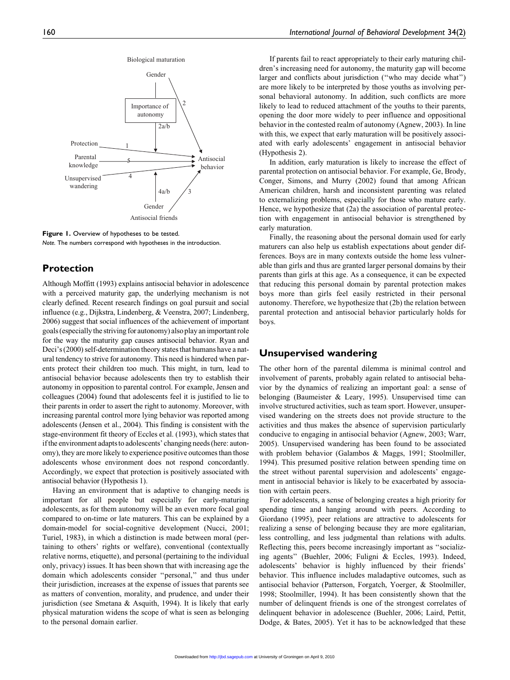

Figure 1. Overview of hypotheses to be tested. Note. The numbers correspond with hypotheses in the introduction.

# Protection

Although Moffitt (1993) explains antisocial behavior in adolescence with a perceived maturity gap, the underlying mechanism is not clearly defined. Recent research findings on goal pursuit and social influence (e.g., Dijkstra, Lindenberg, & Veenstra, 2007; Lindenberg, 2006) suggest that social influences of the achievement of important goals (especiallythe striving for autonomy) also play animportant role for the way the maturity gap causes antisocial behavior. Ryan and Deci's (2000) self-determination theory states that humans have a natural tendency to strive for autonomy. This need is hindered when parents protect their children too much. This might, in turn, lead to antisocial behavior because adolescents then try to establish their autonomy in opposition to parental control. For example, Jensen and colleagues (2004) found that adolescents feel it is justified to lie to their parents in order to assert the right to autonomy. Moreover, with increasing parental control more lying behavior was reported among adolescents (Jensen et al., 2004). This finding is consistent with the stage-environment fit theory of Eccles et al. (1993), which states that if the environment adapts to adolescents' changing needs (here: autonomy), they are more likely to experience positive outcomes than those adolescents whose environment does not respond concordantly. Accordingly, we expect that protection is positively associated with antisocial behavior (Hypothesis 1).

Having an environment that is adaptive to changing needs is important for all people but especially for early-maturing adolescents, as for them autonomy will be an even more focal goal compared to on-time or late maturers. This can be explained by a domain-model for social-cognitive development (Nucci, 2001; Turiel, 1983), in which a distinction is made between moral (pertaining to others' rights or welfare), conventional (contextually relative norms, etiquette), and personal (pertaining to the individual only, privacy) issues. It has been shown that with increasing age the domain which adolescents consider ''personal,'' and thus under their jurisdiction, increases at the expense of issues that parents see as matters of convention, morality, and prudence, and under their jurisdiction (see Smetana & Asquith, 1994). It is likely that early physical maturation widens the scope of what is seen as belonging to the personal domain earlier.

If parents fail to react appropriately to their early maturing children's increasing need for autonomy, the maturity gap will become larger and conflicts about jurisdiction (''who may decide what'') are more likely to be interpreted by those youths as involving personal behavioral autonomy. In addition, such conflicts are more likely to lead to reduced attachment of the youths to their parents, opening the door more widely to peer influence and oppositional behavior in the contested realm of autonomy (Agnew, 2003). In line with this, we expect that early maturation will be positively associated with early adolescents' engagement in antisocial behavior (Hypothesis 2).

In addition, early maturation is likely to increase the effect of parental protection on antisocial behavior. For example, Ge, Brody, Conger, Simons, and Murry (2002) found that among African American children, harsh and inconsistent parenting was related to externalizing problems, especially for those who mature early. Hence, we hypothesize that (2a) the association of parental protection with engagement in antisocial behavior is strengthened by early maturation.

Finally, the reasoning about the personal domain used for early maturers can also help us establish expectations about gender differences. Boys are in many contexts outside the home less vulnerable than girls and thus are granted larger personal domains by their parents than girls at this age. As a consequence, it can be expected that reducing this personal domain by parental protection makes boys more than girls feel easily restricted in their personal autonomy. Therefore, we hypothesize that (2b) the relation between parental protection and antisocial behavior particularly holds for boys.

### Unsupervised wandering

The other horn of the parental dilemma is minimal control and involvement of parents, probably again related to antisocial behavior by the dynamics of realizing an important goal: a sense of belonging (Baumeister & Leary, 1995). Unsupervised time can involve structured activities, such as team sport. However, unsupervised wandering on the streets does not provide structure to the activities and thus makes the absence of supervision particularly conducive to engaging in antisocial behavior (Agnew, 2003; Warr, 2005). Unsupervised wandering has been found to be associated with problem behavior (Galambos & Maggs, 1991; Stoolmiller, 1994). This presumed positive relation between spending time on the street without parental supervision and adolescents' engagement in antisocial behavior is likely to be exacerbated by association with certain peers.

For adolescents, a sense of belonging creates a high priority for spending time and hanging around with peers. According to Giordano (1995), peer relations are attractive to adolescents for realizing a sense of belonging because they are more egalitarian, less controlling, and less judgmental than relations with adults. Reflecting this, peers become increasingly important as ''socializing agents'' (Buehler, 2006; Fuligni & Eccles, 1993). Indeed, adolescents' behavior is highly influenced by their friends' behavior. This influence includes maladaptive outcomes, such as antisocial behavior (Patterson, Forgatch, Yoerger, & Stoolmiller, 1998; Stoolmiller, 1994). It has been consistently shown that the number of delinquent friends is one of the strongest correlates of delinquent behavior in adolescence (Buehler, 2006; Laird, Pettit, Dodge, & Bates, 2005). Yet it has to be acknowledged that these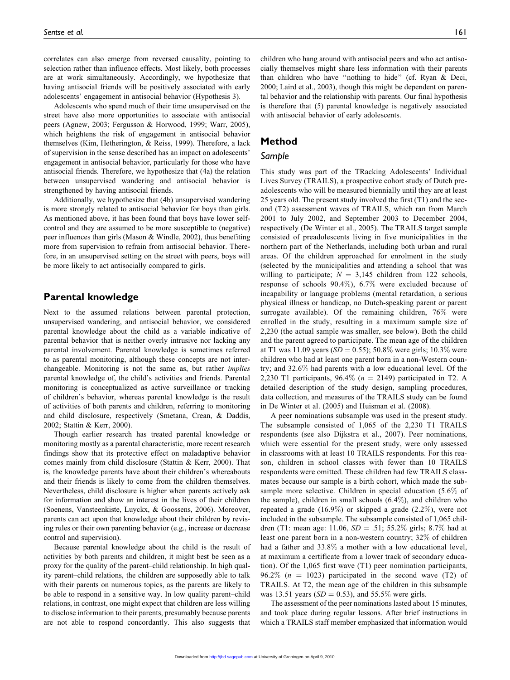correlates can also emerge from reversed causality, pointing to selection rather than influence effects. Most likely, both processes are at work simultaneously. Accordingly, we hypothesize that having antisocial friends will be positively associated with early adolescents' engagement in antisocial behavior (Hypothesis 3).

Adolescents who spend much of their time unsupervised on the street have also more opportunities to associate with antisocial peers (Agnew, 2003; Fergusson & Horwood, 1999; Warr, 2005), which heightens the risk of engagement in antisocial behavior themselves (Kim, Hetherington, & Reiss, 1999). Therefore, a lack of supervision in the sense described has an impact on adolescents' engagement in antisocial behavior, particularly for those who have antisocial friends. Therefore, we hypothesize that (4a) the relation between unsupervised wandering and antisocial behavior is strengthened by having antisocial friends.

Additionally, we hypothesize that (4b) unsupervised wandering is more strongly related to antisocial behavior for boys than girls. As mentioned above, it has been found that boys have lower selfcontrol and they are assumed to be more susceptible to (negative) peer influences than girls (Mason & Windle, 2002), thus benefiting more from supervision to refrain from antisocial behavior. Therefore, in an unsupervised setting on the street with peers, boys will be more likely to act antisocially compared to girls.

# Parental knowledge

Next to the assumed relations between parental protection, unsupervised wandering, and antisocial behavior, we considered parental knowledge about the child as a variable indicative of parental behavior that is neither overly intrusive nor lacking any parental involvement. Parental knowledge is sometimes referred to as parental monitoring, although these concepts are not interchangeable. Monitoring is not the same as, but rather implies parental knowledge of, the child's activities and friends. Parental monitoring is conceptualized as active surveillance or tracking of children's behavior, whereas parental knowledge is the result of activities of both parents and children, referring to monitoring and child disclosure, respectively (Smetana, Crean, & Daddis, 2002; Stattin & Kerr, 2000).

Though earlier research has treated parental knowledge or monitoring mostly as a parental characteristic, more recent research findings show that its protective effect on maladaptive behavior comes mainly from child disclosure (Stattin & Kerr, 2000). That is, the knowledge parents have about their children's whereabouts and their friends is likely to come from the children themselves. Nevertheless, child disclosure is higher when parents actively ask for information and show an interest in the lives of their children (Soenens, Vansteenkiste, Luyckx, & Goossens, 2006). Moreover, parents can act upon that knowledge about their children by revising rules or their own parenting behavior (e.g., increase or decrease control and supervision).

Because parental knowledge about the child is the result of activities by both parents and children, it might best be seen as a proxy for the quality of the parent–child relationship. In high quality parent–child relations, the children are supposedly able to talk with their parents on numerous topics, as the parents are likely to be able to respond in a sensitive way. In low quality parent–child relations, in contrast, one might expect that children are less willing to disclose information to their parents, presumably because parents are not able to respond concordantly. This also suggests that

children who hang around with antisocial peers and who act antisocially themselves might share less information with their parents than children who have ''nothing to hide'' (cf. Ryan & Deci, 2000; Laird et al., 2003), though this might be dependent on parental behavior and the relationship with parents. Our final hypothesis is therefore that (5) parental knowledge is negatively associated with antisocial behavior of early adolescents.

# Method

#### Sample

This study was part of the TRacking Adolescents' Individual Lives Survey (TRAILS), a prospective cohort study of Dutch preadolescents who will be measured biennially until they are at least 25 years old. The present study involved the first (T1) and the second (T2) assessment waves of TRAILS, which ran from March 2001 to July 2002, and September 2003 to December 2004, respectively (De Winter et al., 2005). The TRAILS target sample consisted of preadolescents living in five municipalities in the northern part of the Netherlands, including both urban and rural areas. Of the children approached for enrolment in the study (selected by the municipalities and attending a school that was willing to participate;  $N = 3,145$  children from 122 schools, response of schools 90.4%), 6.7% were excluded because of incapability or language problems (mental retardation, a serious physical illness or handicap, no Dutch-speaking parent or parent surrogate available). Of the remaining children, 76% were enrolled in the study, resulting in a maximum sample size of 2,230 (the actual sample was smaller, see below). Both the child and the parent agreed to participate. The mean age of the children at T1 was 11.09 years ( $SD = 0.55$ ); 50.8% were girls; 10.3% were children who had at least one parent born in a non-Western country; and 32.6% had parents with a low educational level. Of the 2,230 T1 participants,  $96.4\%$  ( $n = 2149$ ) participated in T2. A detailed description of the study design, sampling procedures, data collection, and measures of the TRAILS study can be found in De Winter et al. (2005) and Huisman et al. (2008).

A peer nominations subsample was used in the present study. The subsample consisted of 1,065 of the 2,230 T1 TRAILS respondents (see also Dijkstra et al., 2007). Peer nominations, which were essential for the present study, were only assessed in classrooms with at least 10 TRAILS respondents. For this reason, children in school classes with fewer than 10 TRAILS respondents were omitted. These children had few TRAILS classmates because our sample is a birth cohort, which made the subsample more selective. Children in special education (5.6% of the sample), children in small schools (6.4%), and children who repeated a grade (16.9%) or skipped a grade (2.2%), were not included in the subsample. The subsample consisted of 1,065 children (T1: mean age: 11.06,  $SD = .51$ ; 55.2% girls; 8.7% had at least one parent born in a non-western country; 32% of children had a father and 33.8% a mother with a low educational level, at maximum a certificate from a lower track of secondary education). Of the 1,065 first wave (T1) peer nomination participants, 96.2% ( $n = 1023$ ) participated in the second wave (T2) of TRAILS. At T2, the mean age of the children in this subsample was 13.51 years ( $SD = 0.53$ ), and 55.5% were girls.

The assessment of the peer nominations lasted about 15 minutes, and took place during regular lessons. After brief instructions in which a TRAILS staff member emphasized that information would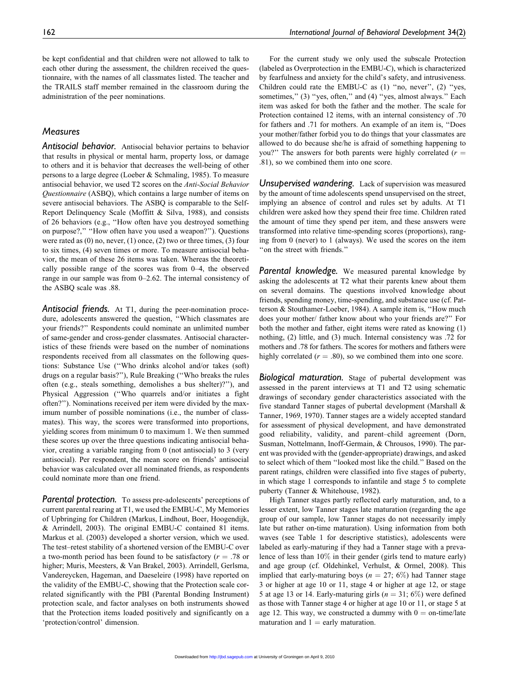be kept confidential and that children were not allowed to talk to each other during the assessment, the children received the questionnaire, with the names of all classmates listed. The teacher and the TRAILS staff member remained in the classroom during the administration of the peer nominations.

# **Measures**

Antisocial behavior. Antisocial behavior pertains to behavior that results in physical or mental harm, property loss, or damage to others and it is behavior that decreases the well-being of other persons to a large degree (Loeber & Schmaling, 1985). To measure antisocial behavior, we used T2 scores on the Anti-Social Behavior Questionnaire (ASBQ), which contains a large number of items on severe antisocial behaviors. The ASBQ is comparable to the Self-Report Delinquency Scale (Moffitt & Silva, 1988), and consists of 26 behaviors (e.g., ''How often have you destroyed something on purpose?,'' ''How often have you used a weapon?''). Questions were rated as  $(0)$  no, never,  $(1)$  once,  $(2)$  two or three times,  $(3)$  four to six times, (4) seven times or more. To measure antisocial behavior, the mean of these 26 items was taken. Whereas the theoretically possible range of the scores was from 0–4, the observed range in our sample was from 0–2.62. The internal consistency of the ASBQ scale was .88.

Antisocial friends. At T1, during the peer-nomination procedure, adolescents answered the question, ''Which classmates are your friends?'' Respondents could nominate an unlimited number of same-gender and cross-gender classmates. Antisocial characteristics of these friends were based on the number of nominations respondents received from all classmates on the following questions: Substance Use (''Who drinks alcohol and/or takes (soft) drugs on a regular basis?''), Rule Breaking (''Who breaks the rules often (e.g., steals something, demolishes a bus shelter)?''), and Physical Aggression (''Who quarrels and/or initiates a fight often?''). Nominations received per item were divided by the maximum number of possible nominations (i.e., the number of classmates). This way, the scores were transformed into proportions, yielding scores from minimum 0 to maximum 1. We then summed these scores up over the three questions indicating antisocial behavior, creating a variable ranging from 0 (not antisocial) to 3 (very antisocial). Per respondent, the mean score on friends' antisocial behavior was calculated over all nominated friends, as respondents could nominate more than one friend.

Parental protection. To assess pre-adolescents' perceptions of current parental rearing at T1, we used the EMBU-C, My Memories of Upbringing for Children (Markus, Lindhout, Boer, Hoogendijk, & Arrindell, 2003). The original EMBU-C contained 81 items. Markus et al. (2003) developed a shorter version, which we used. The test–retest stability of a shortened version of the EMBU-C over a two-month period has been found to be satisfactory ( $r = .78$  or higher; Muris, Meesters, & Van Brakel, 2003). Arrindell, Gerlsma, Vandereycken, Hageman, and Daeseleire (1998) have reported on the validity of the EMBU-C, showing that the Protection scale correlated significantly with the PBI (Parental Bonding Instrument) protection scale, and factor analyses on both instruments showed that the Protection items loaded positively and significantly on a 'protection/control' dimension.

For the current study we only used the subscale Protection (labeled as Overprotection in the EMBU-C), which is characterized by fearfulness and anxiety for the child's safety, and intrusiveness. Children could rate the EMBU-C as (1) ''no, never'', (2) ''yes, sometimes," (3) "yes, often," and (4) "yes, almost always." Each item was asked for both the father and the mother. The scale for Protection contained 12 items, with an internal consistency of .70 for fathers and .71 for mothers. An example of an item is, ''Does your mother/father forbid you to do things that your classmates are allowed to do because she/he is afraid of something happening to you?" The answers for both parents were highly correlated  $(r =$ .81), so we combined them into one score.

Unsupervised wandering. Lack of supervision was measured by the amount of time adolescents spend unsupervised on the street, implying an absence of control and rules set by adults. At T1 children were asked how they spend their free time. Children rated the amount of time they spend per item, and these answers were transformed into relative time-spending scores (proportions), ranging from 0 (never) to 1 (always). We used the scores on the item ''on the street with friends.''

Parental knowledge. We measured parental knowledge by asking the adolescents at T2 what their parents knew about them on several domains. The questions involved knowledge about friends, spending money, time-spending, and substance use (cf. Patterson & Stouthamer-Loeber, 1984). A sample item is, ''How much does your mother/ father know about who your friends are?'' For both the mother and father, eight items were rated as knowing (1) nothing, (2) little, and (3) much. Internal consistency was .72 for mothers and .78 for fathers. The scores for mothers and fathers were highly correlated ( $r = .80$ ), so we combined them into one score.

**Biological maturation.** Stage of pubertal development was assessed in the parent interviews at T1 and T2 using schematic drawings of secondary gender characteristics associated with the five standard Tanner stages of pubertal development (Marshall & Tanner, 1969, 1970). Tanner stages are a widely accepted standard for assessment of physical development, and have demonstrated good reliability, validity, and parent–child agreement (Dorn, Susman, Nottelmann, Inoff-Germain, & Chrousos, 1990). The parent was provided with the (gender-appropriate) drawings, and asked to select which of them ''looked most like the child.'' Based on the parent ratings, children were classified into five stages of puberty, in which stage 1 corresponds to infantile and stage 5 to complete puberty (Tanner & Whitehouse, 1982).

High Tanner stages partly reflected early maturation, and, to a lesser extent, low Tanner stages late maturation (regarding the age group of our sample, low Tanner stages do not necessarily imply late but rather on-time maturation). Using information from both waves (see Table 1 for descriptive statistics), adolescents were labeled as early-maturing if they had a Tanner stage with a prevalence of less than 10% in their gender (girls tend to mature early) and age group (cf. Oldehinkel, Verhulst, & Ormel, 2008). This implied that early-maturing boys ( $n = 27$ ; 6%) had Tanner stage 3 or higher at age 10 or 11, stage 4 or higher at age 12, or stage 5 at age 13 or 14. Early-maturing girls ( $n = 31$ ; 6%) were defined as those with Tanner stage 4 or higher at age 10 or 11, or stage 5 at age 12. This way, we constructed a dummy with  $0 =$  on-time/late maturation and  $1 =$  early maturation.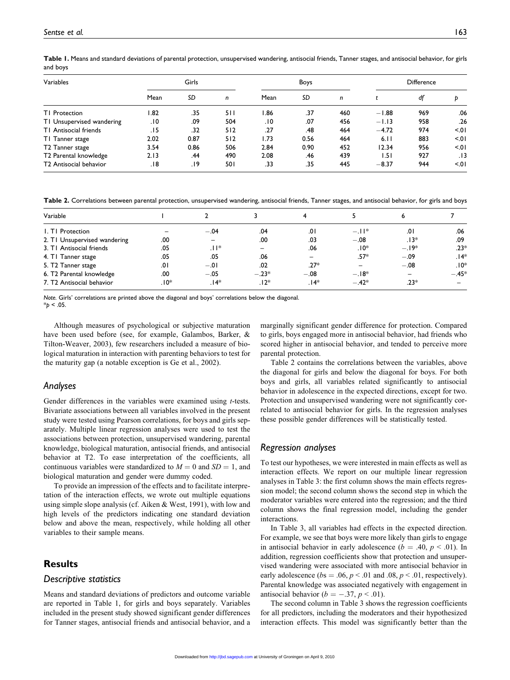| Variables                          | Girls |      |              | <b>Boys</b> |      |     | <b>Difference</b> |     |          |
|------------------------------------|-------|------|--------------|-------------|------|-----|-------------------|-----|----------|
|                                    | Mean  | SD   | $\mathsf{n}$ | Mean        | SD   | n   |                   | df  | Ð        |
| T1 Protection                      | .82   | .35  | 511          | .86         | .37  | 460 | $-1.88$           | 969 | .06      |
| TI Unsupervised wandering          | .10   | .09  | 504          | .10         | .07  | 456 | $-1.13$           | 958 | .26      |
| TI Antisocial friends              | 15.   | .32  | 512          | .27         | .48  | 464 | $-4.72$           | 974 | $5 - 01$ |
| T1 Tanner stage                    | 2.02  | 0.87 | 512          | l.73        | 0.56 | 464 | 6.11              | 883 | 5.01     |
| T2 Tanner stage                    | 3.54  | 0.86 | 506          | 2.84        | 0.90 | 452 | 12.34             | 956 | 5.01     |
| T2 Parental knowledge              | 2.13  | .44  | 490          | 2.08        | .46  | 439 | ا 1.5             | 927 | . 13     |
| T <sub>2</sub> Antisocial behavior | 18.   | 19.  | 501          | .33         | .35  | 445 | $-8.37$           | 944 | 5.01     |

Table 1. Means and standard deviations of parental protection, unsupervised wandering, antisocial friends, Tanner stages, and antisocial behavior, for girls and boys

Table 2. Correlations between parental protection, unsupervised wandering, antisocial friends, Tanner stages, and antisocial behavior, for girls and boys

| Variable                     |      |         |         |        |         |                          |         |
|------------------------------|------|---------|---------|--------|---------|--------------------------|---------|
| I. TI Protection             |      | $-.04$  | .04     | .01    | $-.11*$ | 0١.                      | .06     |
| 2. T1 Unsupervised wandering | .00  | $-$     | .00     | .03    | $-.08$  | .13*                     | .09     |
| 3. T1 Antisocial friends     | .05  | $ 1 ^*$ |         | .06    | $.10*$  | $-.19*$                  | $.23*$  |
| 4. TI Tanner stage           | .05  | .05     | .06     |        | $.57*$  | $-.09$                   | $.14*$  |
| 5. T2 Tanner stage           | 0١.  | $-.01$  | .02     | $.27*$ |         | $-.08$                   | $.10*$  |
| 6. T2 Parental knowledge     | .00  | $-.05$  | $-.23*$ | $-.08$ | $-.18*$ | $\overline{\phantom{0}}$ | $-.45*$ |
| 7. T2 Antisocial behavior    | .10* | $.14*$  | $.12*$  | $.14*$ | $-.42*$ | $.23*$                   |         |

Note. Girls' correlations are printed above the diagonal and boys' correlations below the diagonal.  $*_{p}$  < .05.

Although measures of psychological or subjective maturation have been used before (see, for example, Galambos, Barker, & Tilton-Weaver, 2003), few researchers included a measure of biological maturation in interaction with parenting behaviors to test for the maturity gap (a notable exception is Ge et al., 2002).

#### Analyses

Gender differences in the variables were examined using *t*-tests. Bivariate associations between all variables involved in the present study were tested using Pearson correlations, for boys and girls separately. Multiple linear regression analyses were used to test the associations between protection, unsupervised wandering, parental knowledge, biological maturation, antisocial friends, and antisocial behavior at T2. To ease interpretation of the coefficients, all continuous variables were standardized to  $M = 0$  and  $SD = 1$ , and biological maturation and gender were dummy coded.

To provide an impression of the effects and to facilitate interpretation of the interaction effects, we wrote out multiple equations using simple slope analysis (cf. Aiken & West, 1991), with low and high levels of the predictors indicating one standard deviation below and above the mean, respectively, while holding all other variables to their sample means.

# **Results**

#### Descriptive statistics

Means and standard deviations of predictors and outcome variable are reported in Table 1, for girls and boys separately. Variables included in the present study showed significant gender differences for Tanner stages, antisocial friends and antisocial behavior, and a marginally significant gender difference for protection. Compared to girls, boys engaged more in antisocial behavior, had friends who scored higher in antisocial behavior, and tended to perceive more parental protection.

Table 2 contains the correlations between the variables, above the diagonal for girls and below the diagonal for boys. For both boys and girls, all variables related significantly to antisocial behavior in adolescence in the expected directions, except for two. Protection and unsupervised wandering were not significantly correlated to antisocial behavior for girls. In the regression analyses these possible gender differences will be statistically tested.

#### Regression analyses

To test our hypotheses, we were interested in main effects as well as interaction effects. We report on our multiple linear regression analyses in Table 3: the first column shows the main effects regression model; the second column shows the second step in which the moderator variables were entered into the regression; and the third column shows the final regression model, including the gender interactions.

In Table 3, all variables had effects in the expected direction. For example, we see that boys were more likely than girls to engage in antisocial behavior in early adolescence ( $b = .40, p < .01$ ). In addition, regression coefficients show that protection and unsupervised wandering were associated with more antisocial behavior in early adolescence ( $bs = .06$ ,  $p < .01$  and  $.08$ ,  $p < .01$ , respectively). Parental knowledge was associated negatively with engagement in antisocial behavior ( $b = -.37, p < .01$ ).

The second column in Table 3 shows the regression coefficients for all predictors, including the moderators and their hypothesized interaction effects. This model was significantly better than the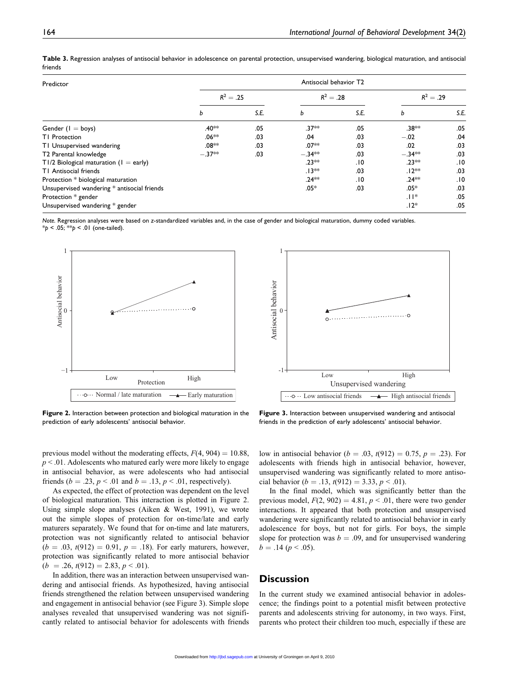| Predictor                                         | Antisocial behavior T2 |      |             |      |             |      |  |  |
|---------------------------------------------------|------------------------|------|-------------|------|-------------|------|--|--|
|                                                   | $R^2 = .25$            |      | $R^2 = .28$ |      | $R^2 = .29$ |      |  |  |
|                                                   | b                      | S.E. | b           | S.E. | b           | S.E. |  |  |
| Gender $(I = boys)$                               | .40 <sup>**</sup>      | .05  | $.37**$     | .05  | .38**       | .05  |  |  |
| T1 Protection                                     | $.06**$                | .03  | .04         | .03  | $-.02$      | .04  |  |  |
| TI Unsupervised wandering                         | $.08**$                | .03  | $.07**$     | .03  | .02         | .03  |  |  |
| T2 Parental knowledge                             | $-.37**$               | .03  | $-.34**$    | .03  | $-.34**$    | .03  |  |  |
| T1/2 Biological maturation ( $I = \text{early}$ ) |                        |      | $.23**$     | .10  | $.23**$     | .10  |  |  |
| TI Antisocial friends                             |                        |      | $.13**$     | .03  | $.12**$     | .03  |  |  |
| Protection * biological maturation                |                        |      | $.24**$     | .10  | $.24**$     | .10  |  |  |
| Unsupervised wandering * antisocial friends       |                        |      | .05*        | .03  | $.05*$      | .03  |  |  |
| Protection * gender                               |                        |      |             |      | $.11*$      | .05  |  |  |
| Unsupervised wandering * gender                   |                        |      |             |      | $.12*$      | .05  |  |  |

Table 3. Regression analyses of antisocial behavior in adolescence on parental protection, unsupervised wandering, biological maturation, and antisocial friends

Note. Regression analyses were based on z-standardized variables and, in the case of gender and biological maturation, dummy coded variables.  $*_{p}$  < .05;  $*_{p}$  < .01 (one-tailed).



Figure 2. Interaction between protection and biological maturation in the prediction of early adolescents' antisocial behavior.



Figure 3. Interaction between unsupervised wandering and antisocial friends in the prediction of early adolescents' antisocial behavior.

previous model without the moderating effects,  $F(4, 904) = 10.88$ ,  $p < 0.01$ . Adolescents who matured early were more likely to engage in antisocial behavior, as were adolescents who had antisocial friends ( $b = .23$ ,  $p < .01$  and  $b = .13$ ,  $p < .01$ , respectively).

As expected, the effect of protection was dependent on the level of biological maturation. This interaction is plotted in Figure 2. Using simple slope analyses (Aiken & West, 1991), we wrote out the simple slopes of protection for on-time/late and early maturers separately. We found that for on-time and late maturers, protection was not significantly related to antisocial behavior  $(b = .03, t(912) = 0.91, p = .18)$ . For early maturers, however, protection was significantly related to more antisocial behavior  $(b = .26, t(912) = 2.83, p < .01).$ 

In addition, there was an interaction between unsupervised wandering and antisocial friends. As hypothesized, having antisocial friends strengthened the relation between unsupervised wandering and engagement in antisocial behavior (see Figure 3). Simple slope analyses revealed that unsupervised wandering was not significantly related to antisocial behavior for adolescents with friends low in antisocial behavior ( $b = .03$ ,  $t(912) = 0.75$ ,  $p = .23$ ). For adolescents with friends high in antisocial behavior, however, unsupervised wandering was significantly related to more antisocial behavior ( $b = .13$ ,  $t(912) = 3.33$ ,  $p < .01$ ).

In the final model, which was significantly better than the previous model,  $F(2, 902) = 4.81$ ,  $p < .01$ , there were two gender interactions. It appeared that both protection and unsupervised wandering were significantly related to antisocial behavior in early adolescence for boys, but not for girls. For boys, the simple slope for protection was  $b = .09$ , and for unsupervised wandering  $b = .14$  ( $p < .05$ ).

### **Discussion**

In the current study we examined antisocial behavior in adolescence; the findings point to a potential misfit between protective parents and adolescents striving for autonomy, in two ways. First, parents who protect their children too much, especially if these are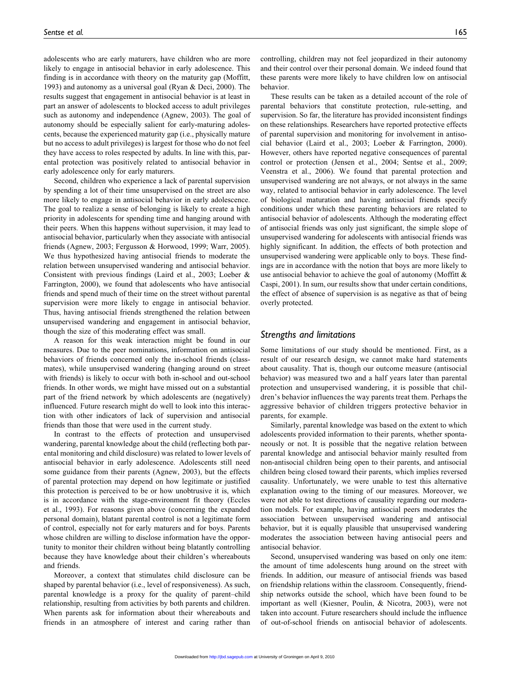adolescents who are early maturers, have children who are more likely to engage in antisocial behavior in early adolescence. This finding is in accordance with theory on the maturity gap (Moffitt, 1993) and autonomy as a universal goal (Ryan & Deci, 2000). The results suggest that engagement in antisocial behavior is at least in part an answer of adolescents to blocked access to adult privileges such as autonomy and independence (Agnew, 2003). The goal of autonomy should be especially salient for early-maturing adolescents, because the experienced maturity gap (i.e., physically mature but no access to adult privileges) is largest for those who do not feel they have access to roles respected by adults. In line with this, parental protection was positively related to antisocial behavior in early adolescence only for early maturers.

Second, children who experience a lack of parental supervision by spending a lot of their time unsupervised on the street are also more likely to engage in antisocial behavior in early adolescence. The goal to realize a sense of belonging is likely to create a high priority in adolescents for spending time and hanging around with their peers. When this happens without supervision, it may lead to antisocial behavior, particularly when they associate with antisocial friends (Agnew, 2003; Fergusson & Horwood, 1999; Warr, 2005). We thus hypothesized having antisocial friends to moderate the relation between unsupervised wandering and antisocial behavior. Consistent with previous findings (Laird et al., 2003; Loeber & Farrington, 2000), we found that adolescents who have antisocial friends and spend much of their time on the street without parental supervision were more likely to engage in antisocial behavior. Thus, having antisocial friends strengthened the relation between unsupervised wandering and engagement in antisocial behavior, though the size of this moderating effect was small.

A reason for this weak interaction might be found in our measures. Due to the peer nominations, information on antisocial behaviors of friends concerned only the in-school friends (classmates), while unsupervised wandering (hanging around on street with friends) is likely to occur with both in-school and out-school friends. In other words, we might have missed out on a substantial part of the friend network by which adolescents are (negatively) influenced. Future research might do well to look into this interaction with other indicators of lack of supervision and antisocial friends than those that were used in the current study.

In contrast to the effects of protection and unsupervised wandering, parental knowledge about the child (reflecting both parental monitoring and child disclosure) was related to lower levels of antisocial behavior in early adolescence. Adolescents still need some guidance from their parents (Agnew, 2003), but the effects of parental protection may depend on how legitimate or justified this protection is perceived to be or how unobtrusive it is, which is in accordance with the stage-environment fit theory (Eccles et al., 1993). For reasons given above (concerning the expanded personal domain), blatant parental control is not a legitimate form of control, especially not for early maturers and for boys. Parents whose children are willing to disclose information have the opportunity to monitor their children without being blatantly controlling because they have knowledge about their children's whereabouts and friends.

Moreover, a context that stimulates child disclosure can be shaped by parental behavior (i.e., level of responsiveness). As such, parental knowledge is a proxy for the quality of parent–child relationship, resulting from activities by both parents and children. When parents ask for information about their whereabouts and friends in an atmosphere of interest and caring rather than controlling, children may not feel jeopardized in their autonomy and their control over their personal domain. We indeed found that these parents were more likely to have children low on antisocial behavior.

These results can be taken as a detailed account of the role of parental behaviors that constitute protection, rule-setting, and supervision. So far, the literature has provided inconsistent findings on these relationships. Researchers have reported protective effects of parental supervision and monitoring for involvement in antisocial behavior (Laird et al., 2003; Loeber & Farrington, 2000). However, others have reported negative consequences of parental control or protection (Jensen et al., 2004; Sentse et al., 2009; Veenstra et al., 2006). We found that parental protection and unsupervised wandering are not always, or not always in the same way, related to antisocial behavior in early adolescence. The level of biological maturation and having antisocial friends specify conditions under which these parenting behaviors are related to antisocial behavior of adolescents. Although the moderating effect of antisocial friends was only just significant, the simple slope of unsupervised wandering for adolescents with antisocial friends was highly significant. In addition, the effects of both protection and unsupervised wandering were applicable only to boys. These findings are in accordance with the notion that boys are more likely to use antisocial behavior to achieve the goal of autonomy (Moffitt & Caspi, 2001). In sum, our results show that under certain conditions, the effect of absence of supervision is as negative as that of being overly protected.

# Strengths and limitations

Some limitations of our study should be mentioned. First, as a result of our research design, we cannot make hard statements about causality. That is, though our outcome measure (antisocial behavior) was measured two and a half years later than parental protection and unsupervised wandering, it is possible that children's behavior influences the way parents treat them. Perhaps the aggressive behavior of children triggers protective behavior in parents, for example.

Similarly, parental knowledge was based on the extent to which adolescents provided information to their parents, whether spontaneously or not. It is possible that the negative relation between parental knowledge and antisocial behavior mainly resulted from non-antisocial children being open to their parents, and antisocial children being closed toward their parents, which implies reversed causality. Unfortunately, we were unable to test this alternative explanation owing to the timing of our measures. Moreover, we were not able to test directions of causality regarding our moderation models. For example, having antisocial peers moderates the association between unsupervised wandering and antisocial behavior, but it is equally plausible that unsupervised wandering moderates the association between having antisocial peers and antisocial behavior.

Second, unsupervised wandering was based on only one item: the amount of time adolescents hung around on the street with friends. In addition, our measure of antisocial friends was based on friendship relations within the classroom. Consequently, friendship networks outside the school, which have been found to be important as well (Kiesner, Poulin, & Nicotra, 2003), were not taken into account. Future researchers should include the influence of out-of-school friends on antisocial behavior of adolescents.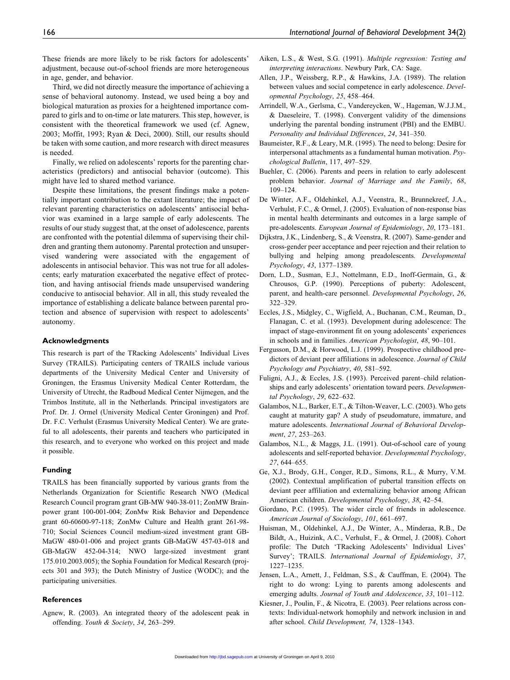These friends are more likely to be risk factors for adolescents' adjustment, because out-of-school friends are more heterogeneous in age, gender, and behavior.

Third, we did not directly measure the importance of achieving a sense of behavioral autonomy. Instead, we used being a boy and biological maturation as proxies for a heightened importance compared to girls and to on-time or late maturers. This step, however, is consistent with the theoretical framework we used (cf. Agnew, 2003; Moffit, 1993; Ryan & Deci, 2000). Still, our results should be taken with some caution, and more research with direct measures is needed.

Finally, we relied on adolescents' reports for the parenting characteristics (predictors) and antisocial behavior (outcome). This might have led to shared method variance.

Despite these limitations, the present findings make a potentially important contribution to the extant literature; the impact of relevant parenting characteristics on adolescents' antisocial behavior was examined in a large sample of early adolescents. The results of our study suggest that, at the onset of adolescence, parents are confronted with the potential dilemma of supervising their children and granting them autonomy. Parental protection and unsupervised wandering were associated with the engagement of adolescents in antisocial behavior. This was not true for all adolescents; early maturation exacerbated the negative effect of protection, and having antisocial friends made unsupervised wandering conducive to antisocial behavior. All in all, this study revealed the importance of establishing a delicate balance between parental protection and absence of supervision with respect to adolescents' autonomy.

#### Acknowledgments

This research is part of the TRacking Adolescents' Individual Lives Survey (TRAILS). Participating centers of TRAILS include various departments of the University Medical Center and University of Groningen, the Erasmus University Medical Center Rotterdam, the University of Utrecht, the Radboud Medical Center Nijmegen, and the Trimbos Institute, all in the Netherlands. Principal investigators are Prof. Dr. J. Ormel (University Medical Center Groningen) and Prof. Dr. F.C. Verhulst (Erasmus University Medical Center). We are grateful to all adolescents, their parents and teachers who participated in this research, and to everyone who worked on this project and made it possible.

#### Funding

TRAILS has been financially supported by various grants from the Netherlands Organization for Scientific Research NWO (Medical Research Council program grant GB-MW 940-38-011; ZonMW Brainpower grant 100-001-004; ZonMw Risk Behavior and Dependence grant 60-60600-97-118; ZonMw Culture and Health grant 261-98- 710; Social Sciences Council medium-sized investment grant GB-MaGW 480-01-006 and project grants GB-MaGW 457-03-018 and GB-MaGW 452-04-314; NWO large-sized investment grant 175.010.2003.005); the Sophia Foundation for Medical Research (projects 301 and 393); the Dutch Ministry of Justice (WODC); and the participating universities.

#### References

Agnew, R. (2003). An integrated theory of the adolescent peak in offending. Youth & Society, 34, 263–299.

- Aiken, L.S., & West, S.G. (1991). Multiple regression: Testing and interpreting interactions. Newbury Park, CA: Sage.
- Allen, J.P., Weissberg, R.P., & Hawkins, J.A. (1989). The relation between values and social competence in early adolescence. Developmental Psychology, 25, 458–464.
- Arrindell, W.A., Gerlsma, C., Vandereycken, W., Hageman, W.J.J.M., & Daeseleire, T. (1998). Convergent validity of the dimensions underlying the parental bonding instrument (PBI) and the EMBU. Personality and Individual Differences, 24, 341–350.
- Baumeister, R.F., & Leary, M.R. (1995). The need to belong: Desire for interpersonal attachments as a fundamental human motivation. Psychological Bulletin, 117, 497–529.
- Buehler, C. (2006). Parents and peers in relation to early adolescent problem behavior. Journal of Marriage and the Family, 68, 109–124.
- De Winter, A.F., Oldehinkel, A.J., Veenstra, R., Brunnekreef, J.A., Verhulst, F.C., & Ormel, J. (2005). Evaluation of non-response bias in mental health determinants and outcomes in a large sample of pre-adolescents. European Journal of Epidemiology, 20, 173–181.
- Dijkstra, J.K., Lindenberg, S., & Veenstra, R. (2007). Same-gender and cross-gender peer acceptance and peer rejection and their relation to bullying and helping among preadolescents. Developmental Psychology, 43, 1377–1389.
- Dorn, L.D., Susman, E.J., Nottelmann, E.D., Inoff-Germain, G., & Chrousos, G.P. (1990). Perceptions of puberty: Adolescent, parent, and health-care personnel. Developmental Psychology, 26, 322–329.
- Eccles, J.S., Midgley, C., Wigfield, A., Buchanan, C.M., Reuman, D., Flanagan, C. et al. (1993). Development during adolescence: The impact of stage-environment fit on young adolescents' experiences in schools and in families. American Psychologist, 48, 90–101.
- Fergusson, D.M., & Horwood, L.J. (1999). Prospective childhood predictors of deviant peer affiliations in adolescence. Journal of Child Psychology and Psychiatry, 40, 581–592.
- Fuligni, A.J., & Eccles, J.S. (1993). Perceived parent–child relationships and early adolescents' orientation toward peers. Developmental Psychology, 29, 622–632.
- Galambos, N.L., Barker, E.T., & Tilton-Weaver, L.C. (2003). Who gets caught at maturity gap? A study of pseudomature, immature, and mature adolescents. International Journal of Behavioral Development, 27, 253–263.
- Galambos, N.L., & Maggs, J.L. (1991). Out-of-school care of young adolescents and self-reported behavior. Developmental Psychology, 27, 644–655.
- Ge, X.J., Brody, G.H., Conger, R.D., Simons, R.L., & Murry, V.M. (2002). Contextual amplification of pubertal transition effects on deviant peer affiliation and externalizing behavior among African American children. Developmental Psychology, 38, 42–54.
- Giordano, P.C. (1995). The wider circle of friends in adolescence. American Journal of Sociology, 101, 661–697.
- Huisman, M., Oldehinkel, A.J., De Winter, A., Minderaa, R.B., De Bildt, A., Huizink, A.C., Verhulst, F., & Ormel, J. (2008). Cohort profile: The Dutch 'TRacking Adolescents' Individual Lives' Survey'; TRAILS. International Journal of Epidemiology, 37, 1227–1235.
- Jensen, L.A., Arnett, J., Feldman, S.S., & Cauffman, E. (2004). The right to do wrong: Lying to parents among adolescents and emerging adults. Journal of Youth and Adolescence, 33, 101–112.
- Kiesner, J., Poulin, F., & Nicotra, E. (2003). Peer relations across contexts: Individual-network homophily and network inclusion in and after school. Child Development, 74, 1328–1343.